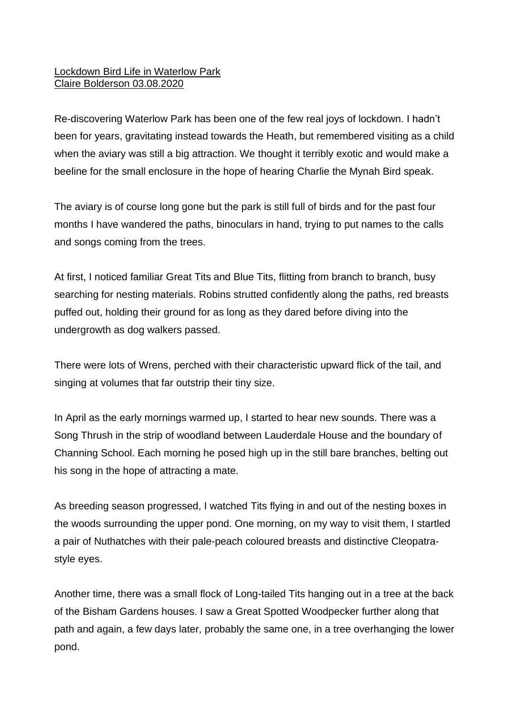## Lockdown Bird Life in Waterlow Park Claire Bolderson 03.08.2020

Re-discovering Waterlow Park has been one of the few real joys of lockdown. I hadn't been for years, gravitating instead towards the Heath, but remembered visiting as a child when the aviary was still a big attraction. We thought it terribly exotic and would make a beeline for the small enclosure in the hope of hearing Charlie the Mynah Bird speak.

The aviary is of course long gone but the park is still full of birds and for the past four months I have wandered the paths, binoculars in hand, trying to put names to the calls and songs coming from the trees.

At first, I noticed familiar Great Tits and Blue Tits, flitting from branch to branch, busy searching for nesting materials. Robins strutted confidently along the paths, red breasts puffed out, holding their ground for as long as they dared before diving into the undergrowth as dog walkers passed.

There were lots of Wrens, perched with their characteristic upward flick of the tail, and singing at volumes that far outstrip their tiny size.

In April as the early mornings warmed up, I started to hear new sounds. There was a Song Thrush in the strip of woodland between Lauderdale House and the boundary of Channing School. Each morning he posed high up in the still bare branches, belting out his song in the hope of attracting a mate.

As breeding season progressed, I watched Tits flying in and out of the nesting boxes in the woods surrounding the upper pond. One morning, on my way to visit them, I startled a pair of Nuthatches with their pale-peach coloured breasts and distinctive Cleopatrastyle eyes.

Another time, there was a small flock of Long-tailed Tits hanging out in a tree at the back of the Bisham Gardens houses. I saw a Great Spotted Woodpecker further along that path and again, a few days later, probably the same one, in a tree overhanging the lower pond.